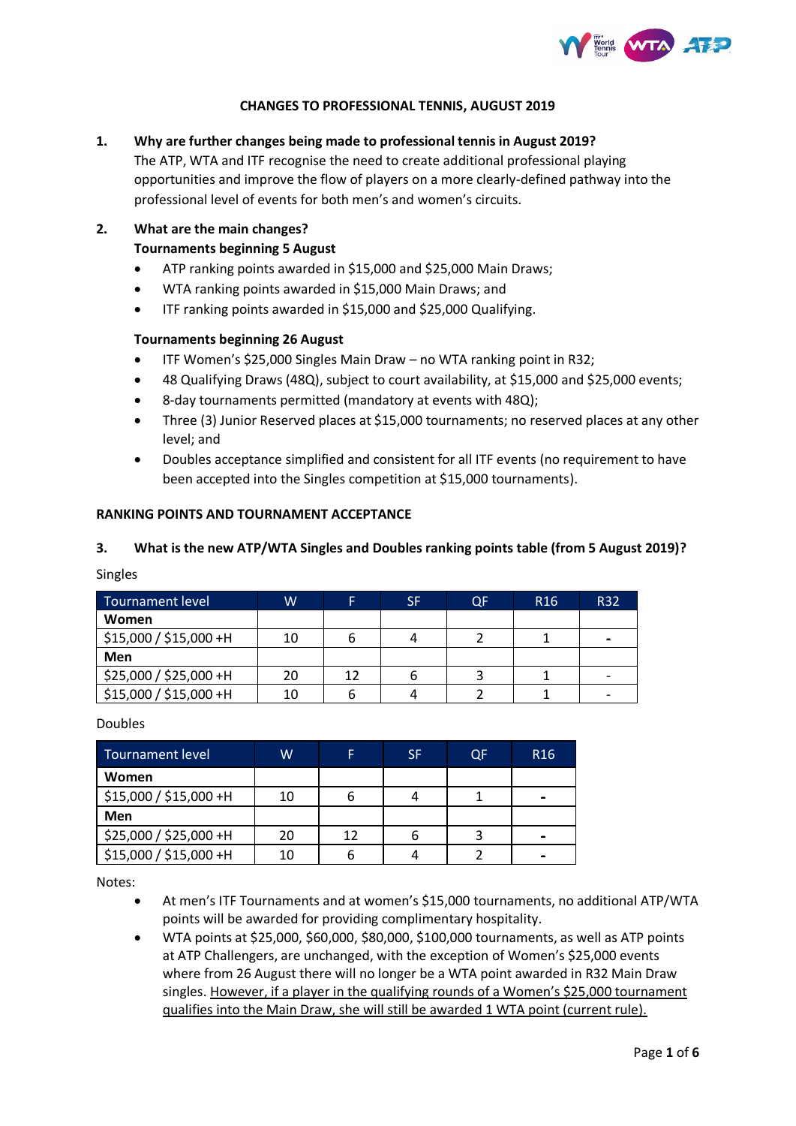

### **CHANGES TO PROFESSIONAL TENNIS, AUGUST 2019**

# **1. Why are further changes being made to professional tennis in August 2019?**

The ATP, WTA and ITF recognise the need to create additional professional playing opportunities and improve the flow of players on a more clearly-defined pathway into the professional level of events for both men's and women's circuits.

### **2. What are the main changes?**

## **Tournaments beginning 5 August**

- ATP ranking points awarded in \$15,000 and \$25,000 Main Draws;
- WTA ranking points awarded in \$15,000 Main Draws; and
- ITF ranking points awarded in \$15,000 and \$25,000 Qualifying.

#### **Tournaments beginning 26 August**

- ITF Women's \$25,000 Singles Main Draw no WTA ranking point in R32;
- 48 Qualifying Draws (48Q), subject to court availability, at \$15,000 and \$25,000 events;
- 8-day tournaments permitted (mandatory at events with 48Q);
- Three (3) Junior Reserved places at \$15,000 tournaments; no reserved places at any other level; and
- Doubles acceptance simplified and consistent for all ITF events (no requirement to have been accepted into the Singles competition at \$15,000 tournaments).

#### **RANKING POINTS AND TOURNAMENT ACCEPTANCE**

#### **3. What is the new ATP/WTA Singles and Doubles ranking points table (from 5 August 2019)?**

Singles

| Tournament level       | W  |    | SF | OF | R <sub>16</sub> | R32 |
|------------------------|----|----|----|----|-----------------|-----|
| Women                  |    |    |    |    |                 |     |
| \$15,000 / \$15,000 +H | 10 |    |    |    |                 |     |
| Men                    |    |    |    |    |                 |     |
| \$25,000 / \$25,000 +H | 20 | 12 |    |    |                 |     |
| \$15,000 / \$15,000 +H | 10 |    |    |    |                 |     |

Doubles

| Tournament level       | w  |    | <b>SF</b> | OF | R <sub>16</sub> |
|------------------------|----|----|-----------|----|-----------------|
| Women                  |    |    |           |    |                 |
| \$15,000 / \$15,000 +H | 10 |    |           |    |                 |
| Men                    |    |    |           |    |                 |
| \$25,000 / \$25,000 +H | 20 | 12 |           |    |                 |
| \$15,000 / \$15,000 +H | 10 |    |           |    |                 |

Notes:

- At men's ITF Tournaments and at women's \$15,000 tournaments, no additional ATP/WTA points will be awarded for providing complimentary hospitality.
- WTA points at \$25,000, \$60,000, \$80,000, \$100,000 tournaments, as well as ATP points at ATP Challengers, are unchanged, with the exception of Women's \$25,000 events where from 26 August there will no longer be a WTA point awarded in R32 Main Draw singles. However, if a player in the qualifying rounds of a Women's \$25,000 tournament qualifies into the Main Draw, she will still be awarded 1 WTA point (current rule).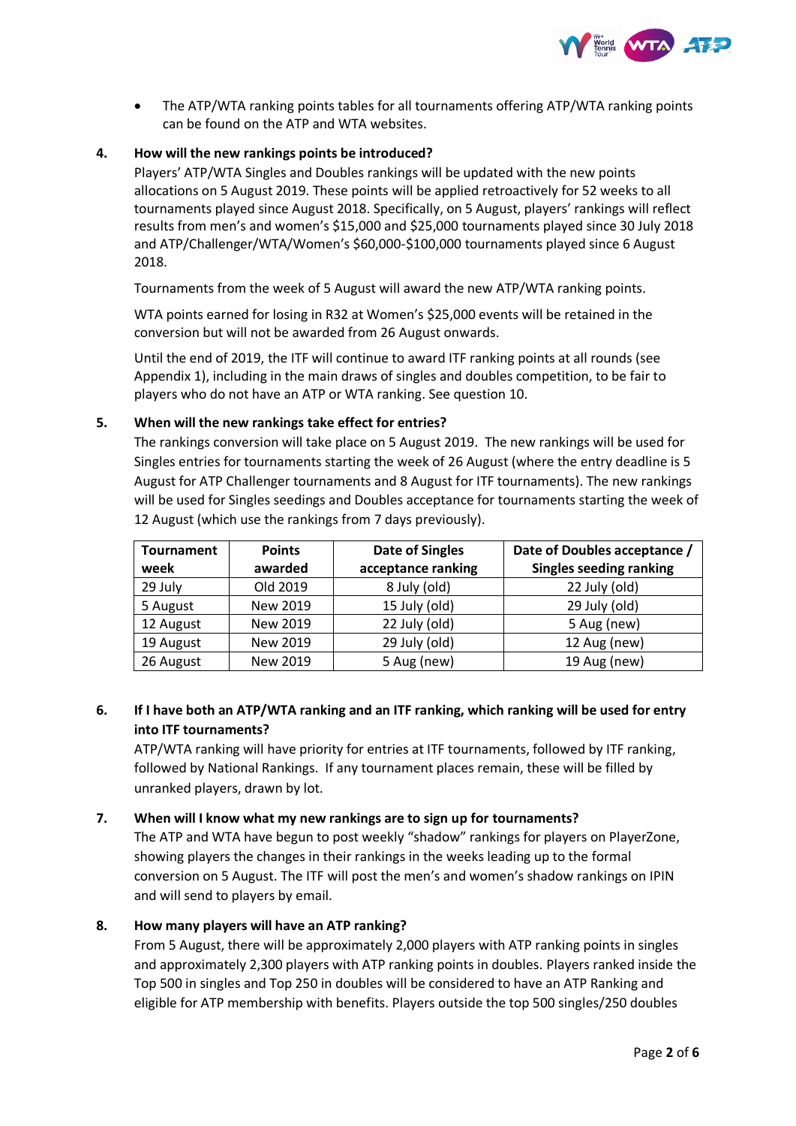

• The ATP/WTA ranking points tables for all tournaments offering ATP/WTA ranking points can be found on the ATP and WTA websites.

## **4. How will the new rankings points be introduced?**

Players' ATP/WTA Singles and Doubles rankings will be updated with the new points allocations on 5 August 2019. These points will be applied retroactively for 52 weeks to all tournaments played since August 2018. Specifically, on 5 August, players' rankings will reflect results from men's and women's \$15,000 and \$25,000 tournaments played since 30 July 2018 and ATP/Challenger/WTA/Women's \$60,000-\$100,000 tournaments played since 6 August 2018.

Tournaments from the week of 5 August will award the new ATP/WTA ranking points.

WTA points earned for losing in R32 at Women's \$25,000 events will be retained in the conversion but will not be awarded from 26 August onwards.

Until the end of 2019, the ITF will continue to award ITF ranking points at all rounds (see Appendix 1), including in the main draws of singles and doubles competition, to be fair to players who do not have an ATP or WTA ranking. See question 10.

#### **5. When will the new rankings take effect for entries?**

The rankings conversion will take place on 5 August 2019. The new rankings will be used for Singles entries for tournaments starting the week of 26 August (where the entry deadline is 5 August for ATP Challenger tournaments and 8 August for ITF tournaments). The new rankings will be used for Singles seedings and Doubles acceptance for tournaments starting the week of 12 August (which use the rankings from 7 days previously).

| Tournament | <b>Points</b> | <b>Date of Singles</b> | Date of Doubles acceptance /   |  |  |
|------------|---------------|------------------------|--------------------------------|--|--|
| week       | awarded       | acceptance ranking     | <b>Singles seeding ranking</b> |  |  |
| 29 July    | Old 2019      | 8 July (old)           | 22 July (old)                  |  |  |
| 5 August   | New 2019      | 15 July (old)          | 29 July (old)                  |  |  |
| 12 August  | New 2019      | 22 July (old)          | 5 Aug (new)                    |  |  |
| 19 August  | New 2019      | 29 July (old)          | 12 Aug (new)                   |  |  |
| 26 August  | New 2019      | 5 Aug (new)            | 19 Aug (new)                   |  |  |

# **6. If I have both an ATP/WTA ranking and an ITF ranking, which ranking will be used for entry into ITF tournaments?**

ATP/WTA ranking will have priority for entries at ITF tournaments, followed by ITF ranking, followed by National Rankings. If any tournament places remain, these will be filled by unranked players, drawn by lot.

#### **7. When will I know what my new rankings are to sign up for tournaments?**

The ATP and WTA have begun to post weekly "shadow" rankings for players on PlayerZone, showing players the changes in their rankings in the weeks leading up to the formal conversion on 5 August. The ITF will post the men's and women's shadow rankings on IPIN and will send to players by email.

## **8. How many players will have an ATP ranking?**

From 5 August, there will be approximately 2,000 players with ATP ranking points in singles and approximately 2,300 players with ATP ranking points in doubles. Players ranked inside the Top 500 in singles and Top 250 in doubles will be considered to have an ATP Ranking and eligible for ATP membership with benefits. Players outside the top 500 singles/250 doubles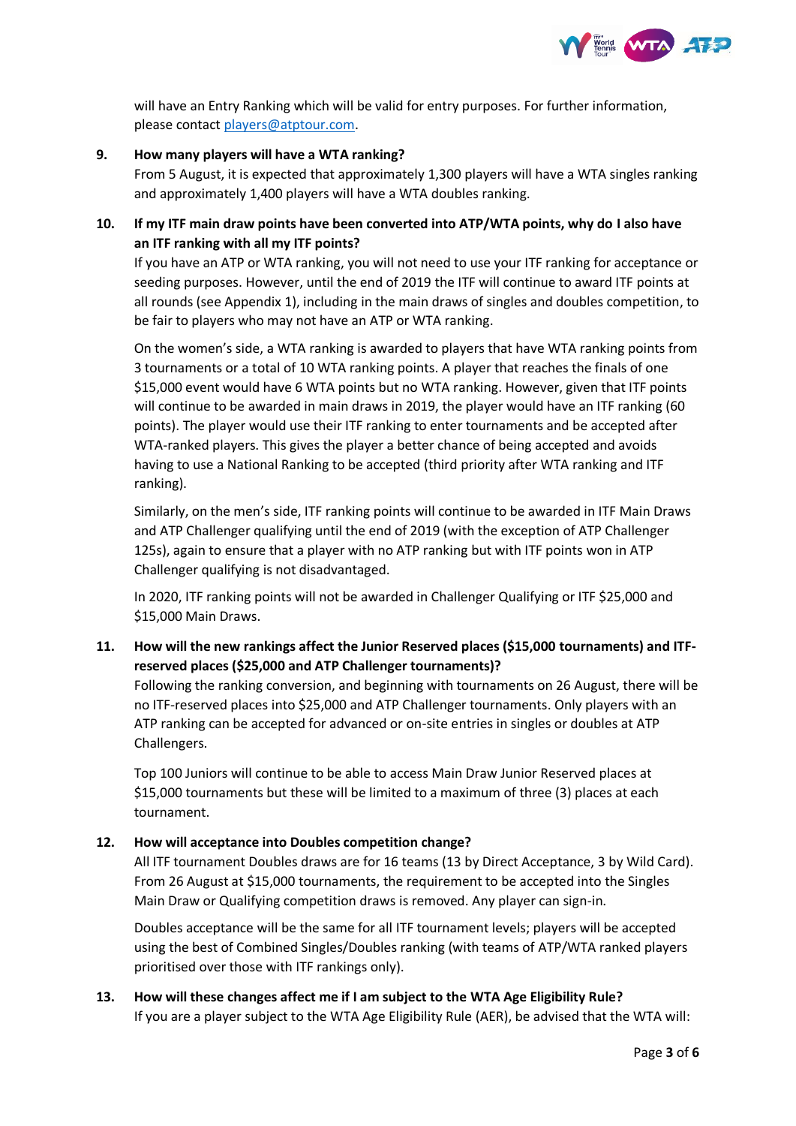

will have an Entry Ranking which will be valid for entry purposes. For further information, please contac[t players@atptour.com.](mailto:players@atptour.com)

## **9. How many players will have a WTA ranking?**

From 5 August, it is expected that approximately 1,300 players will have a WTA singles ranking and approximately 1,400 players will have a WTA doubles ranking.

# **10. If my ITF main draw points have been converted into ATP/WTA points, why do I also have an ITF ranking with all my ITF points?**

If you have an ATP or WTA ranking, you will not need to use your ITF ranking for acceptance or seeding purposes. However, until the end of 2019 the ITF will continue to award ITF points at all rounds (see Appendix 1), including in the main draws of singles and doubles competition, to be fair to players who may not have an ATP or WTA ranking.

On the women's side, a WTA ranking is awarded to players that have WTA ranking points from 3 tournaments or a total of 10 WTA ranking points. A player that reaches the finals of one \$15,000 event would have 6 WTA points but no WTA ranking. However, given that ITF points will continue to be awarded in main draws in 2019, the player would have an ITF ranking (60 points). The player would use their ITF ranking to enter tournaments and be accepted after WTA-ranked players. This gives the player a better chance of being accepted and avoids having to use a National Ranking to be accepted (third priority after WTA ranking and ITF ranking).

Similarly, on the men's side, ITF ranking points will continue to be awarded in ITF Main Draws and ATP Challenger qualifying until the end of 2019 (with the exception of ATP Challenger 125s), again to ensure that a player with no ATP ranking but with ITF points won in ATP Challenger qualifying is not disadvantaged.

In 2020, ITF ranking points will not be awarded in Challenger Qualifying or ITF \$25,000 and \$15,000 Main Draws.

# **11. How will the new rankings affect the Junior Reserved places (\$15,000 tournaments) and ITFreserved places (\$25,000 and ATP Challenger tournaments)?**

Following the ranking conversion, and beginning with tournaments on 26 August, there will be no ITF-reserved places into \$25,000 and ATP Challenger tournaments. Only players with an ATP ranking can be accepted for advanced or on-site entries in singles or doubles at ATP Challengers.

Top 100 Juniors will continue to be able to access Main Draw Junior Reserved places at \$15,000 tournaments but these will be limited to a maximum of three (3) places at each tournament.

## **12. How will acceptance into Doubles competition change?**

All ITF tournament Doubles draws are for 16 teams (13 by Direct Acceptance, 3 by Wild Card). From 26 August at \$15,000 tournaments, the requirement to be accepted into the Singles Main Draw or Qualifying competition draws is removed. Any player can sign-in.

Doubles acceptance will be the same for all ITF tournament levels; players will be accepted using the best of Combined Singles/Doubles ranking (with teams of ATP/WTA ranked players prioritised over those with ITF rankings only).

# **13. How will these changes affect me if I am subject to the WTA Age Eligibility Rule?** If you are a player subject to the WTA Age Eligibility Rule (AER), be advised that the WTA will: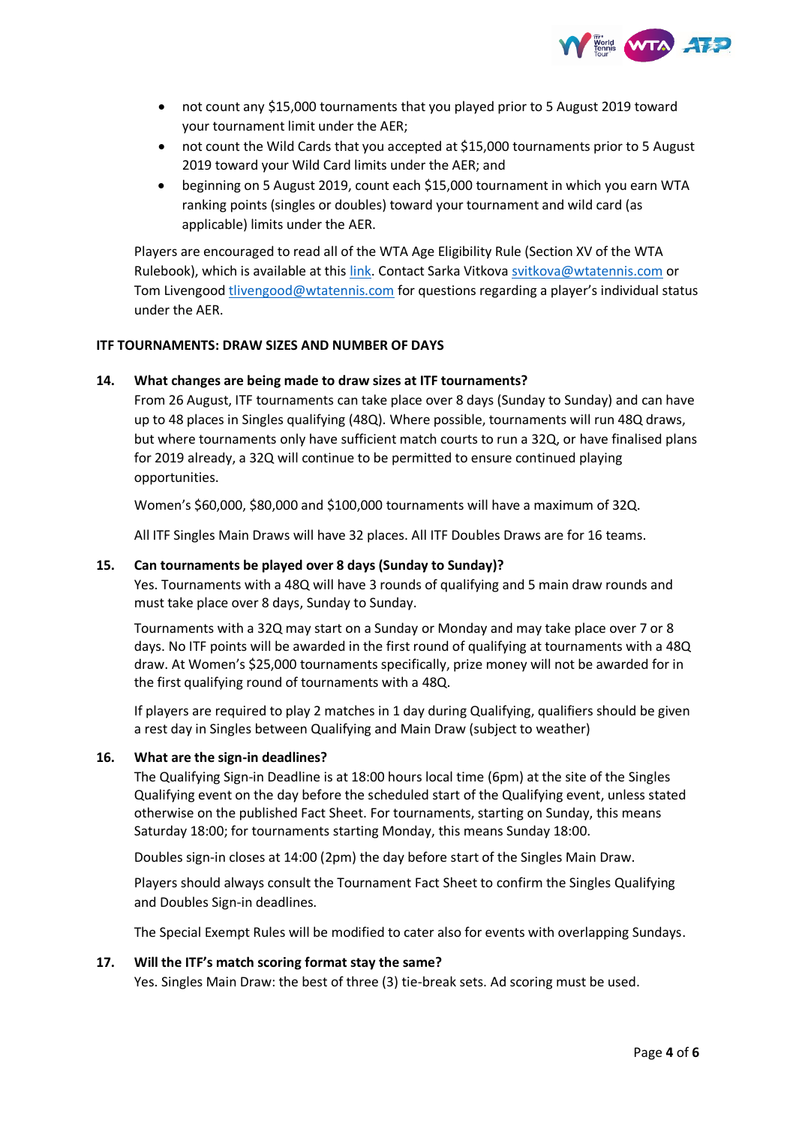

- not count any \$15,000 tournaments that you played prior to 5 August 2019 toward your tournament limit under the AER;
- not count the Wild Cards that you accepted at \$15,000 tournaments prior to 5 August 2019 toward your Wild Card limits under the AER; and
- beginning on 5 August 2019, count each \$15,000 tournament in which you earn WTA ranking points (singles or doubles) toward your tournament and wild card (as applicable) limits under the AER.

Players are encouraged to read all of the WTA Age Eligibility Rule (Section XV of the WTA Rulebook), which is available at this [link.](http://wtafiles.wtatennis.com/pdf/publications/2019WTARulebook.pdf) Contact Sarka Vitkova [svitkova@wtatennis.com](mailto:svitkova@wtatennis.com) or Tom Livengood [tlivengood@wtatennis.com](mailto:tlivengood@wtatennis.com) for questions regarding a player's individual status under the AER.

#### **ITF TOURNAMENTS: DRAW SIZES AND NUMBER OF DAYS**

#### **14. What changes are being made to draw sizes at ITF tournaments?**

From 26 August, ITF tournaments can take place over 8 days (Sunday to Sunday) and can have up to 48 places in Singles qualifying (48Q). Where possible, tournaments will run 48Q draws, but where tournaments only have sufficient match courts to run a 32Q, or have finalised plans for 2019 already, a 32Q will continue to be permitted to ensure continued playing opportunities.

Women's \$60,000, \$80,000 and \$100,000 tournaments will have a maximum of 32Q.

All ITF Singles Main Draws will have 32 places. All ITF Doubles Draws are for 16 teams.

#### **15. Can tournaments be played over 8 days (Sunday to Sunday)?**

Yes. Tournaments with a 48Q will have 3 rounds of qualifying and 5 main draw rounds and must take place over 8 days, Sunday to Sunday.

Tournaments with a 32Q may start on a Sunday or Monday and may take place over 7 or 8 days. No ITF points will be awarded in the first round of qualifying at tournaments with a 48Q draw. At Women's \$25,000 tournaments specifically, prize money will not be awarded for in the first qualifying round of tournaments with a 48Q.

If players are required to play 2 matches in 1 day during Qualifying, qualifiers should be given a rest day in Singles between Qualifying and Main Draw (subject to weather)

#### **16. What are the sign-in deadlines?**

The Qualifying Sign-in Deadline is at 18:00 hours local time (6pm) at the site of the Singles Qualifying event on the day before the scheduled start of the Qualifying event, unless stated otherwise on the published Fact Sheet. For tournaments, starting on Sunday, this means Saturday 18:00; for tournaments starting Monday, this means Sunday 18:00.

Doubles sign-in closes at 14:00 (2pm) the day before start of the Singles Main Draw.

Players should always consult the Tournament Fact Sheet to confirm the Singles Qualifying and Doubles Sign-in deadlines.

The Special Exempt Rules will be modified to cater also for events with overlapping Sundays.

#### **17. Will the ITF's match scoring format stay the same?**

Yes. Singles Main Draw: the best of three (3) tie-break sets. Ad scoring must be used.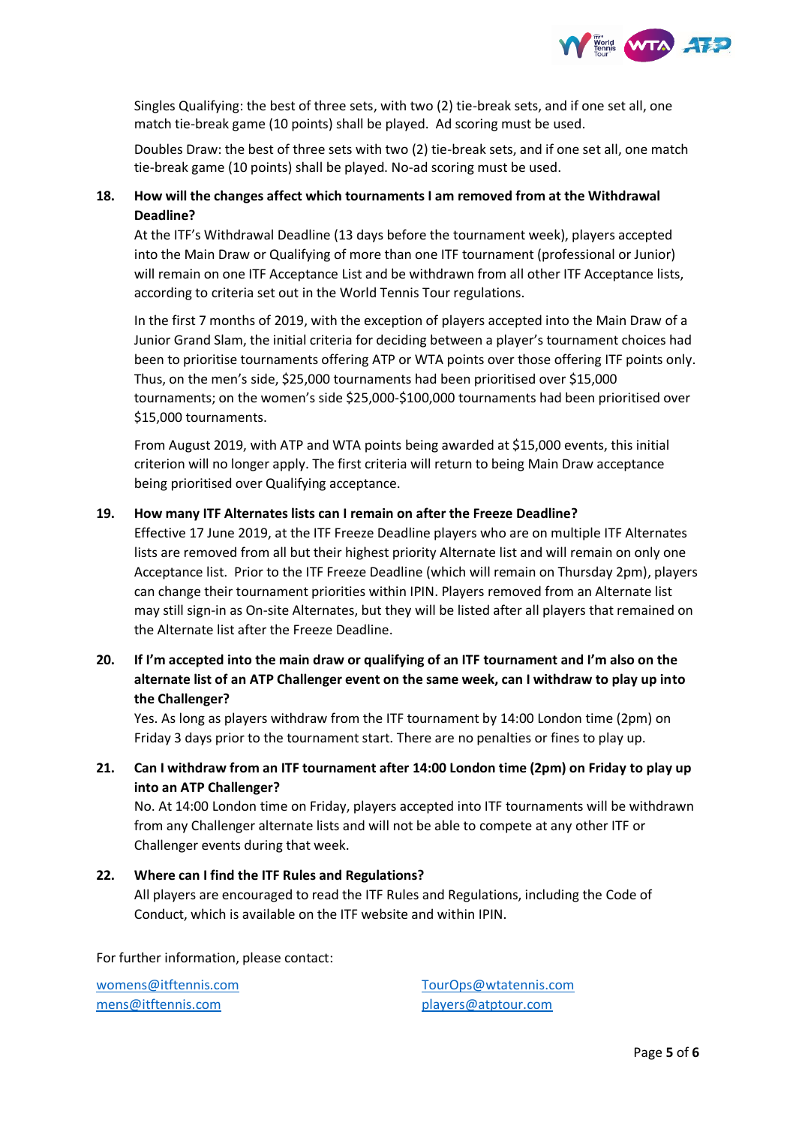

Singles Qualifying: the best of three sets, with two (2) tie-break sets, and if one set all, one match tie-break game (10 points) shall be played. Ad scoring must be used.

Doubles Draw: the best of three sets with two (2) tie-break sets, and if one set all, one match tie-break game (10 points) shall be played. No-ad scoring must be used.

# **18. How will the changes affect which tournaments I am removed from at the Withdrawal Deadline?**

At the ITF's Withdrawal Deadline (13 days before the tournament week), players accepted into the Main Draw or Qualifying of more than one ITF tournament (professional or Junior) will remain on one ITF Acceptance List and be withdrawn from all other ITF Acceptance lists, according to criteria set out in the World Tennis Tour regulations.

In the first 7 months of 2019, with the exception of players accepted into the Main Draw of a Junior Grand Slam, the initial criteria for deciding between a player's tournament choices had been to prioritise tournaments offering ATP or WTA points over those offering ITF points only. Thus, on the men's side, \$25,000 tournaments had been prioritised over \$15,000 tournaments; on the women's side \$25,000-\$100,000 tournaments had been prioritised over \$15,000 tournaments.

From August 2019, with ATP and WTA points being awarded at \$15,000 events, this initial criterion will no longer apply. The first criteria will return to being Main Draw acceptance being prioritised over Qualifying acceptance.

## **19. How many ITF Alternates lists can I remain on after the Freeze Deadline?**

Effective 17 June 2019, at the ITF Freeze Deadline players who are on multiple ITF Alternates lists are removed from all but their highest priority Alternate list and will remain on only one Acceptance list. Prior to the ITF Freeze Deadline (which will remain on Thursday 2pm), players can change their tournament priorities within IPIN. Players removed from an Alternate list may still sign-in as On-site Alternates, but they will be listed after all players that remained on the Alternate list after the Freeze Deadline.

# **20. If I'm accepted into the main draw or qualifying of an ITF tournament and I'm also on the alternate list of an ATP Challenger event on the same week, can I withdraw to play up into the Challenger?**

Yes. As long as players withdraw from the ITF tournament by 14:00 London time (2pm) on Friday 3 days prior to the tournament start. There are no penalties or fines to play up.

# **21. Can I withdraw from an ITF tournament after 14:00 London time (2pm) on Friday to play up into an ATP Challenger?**

No. At 14:00 London time on Friday, players accepted into ITF tournaments will be withdrawn from any Challenger alternate lists and will not be able to compete at any other ITF or Challenger events during that week.

# **22. Where can I find the ITF Rules and Regulations?** All players are encouraged to read the ITF Rules and Regulations, including the Code of Conduct, which is available on the ITF website and within IPIN.

For further information, please contact:

[womens@itftennis.com](mailto:womens@itftennis.com) [mens@itftennis.com](mailto:mens@itftennis.com)

[TourOps@wtatennis.com](mailto:TourOps@wtatennis.com) [players@atptour.com](mailto:players@atptour.com)